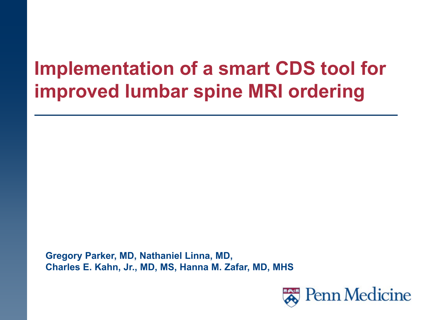### **Implementation of a smart CDS tool for improved lumbar spine MRI ordering**

**Gregory Parker, MD, Nathaniel Linna, MD, Charles E. Kahn, Jr., MD, MS, Hanna M. Zafar, MD, MHS**

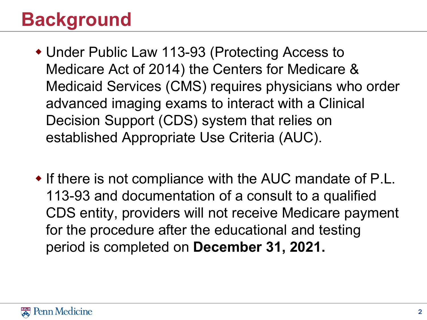# **Background**

- Under Public Law 113-93 (Protecting Access to Medicare Act of 2014) the Centers for Medicare & Medicaid Services (CMS) requires physicians who order advanced imaging exams to interact with a Clinical Decision Support (CDS) system that relies on established Appropriate Use Criteria (AUC).
- If there is not compliance with the AUC mandate of P.L. 113-93 and documentation of a consult to a qualified CDS entity, providers will not receive Medicare payment for the procedure after the educational and testing period is completed on **December 31, 2021.**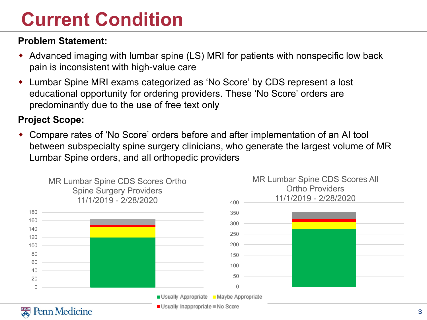## **Current Condition**

#### **Problem Statement:**

- Advanced imaging with lumbar spine (LS) MRI for patients with nonspecific low back pain is inconsistent with high-value care
- Lumbar Spine MRI exams categorized as 'No Score' by CDS represent a lost educational opportunity for ordering providers. These 'No Score' orders are predominantly due to the use of free text only

#### **Project Scope:**

 Compare rates of 'No Score' orders before and after implementation of an AI tool between subspecialty spine surgery clinicians, who generate the largest volume of MR Lumbar Spine orders, and all orthopedic providers

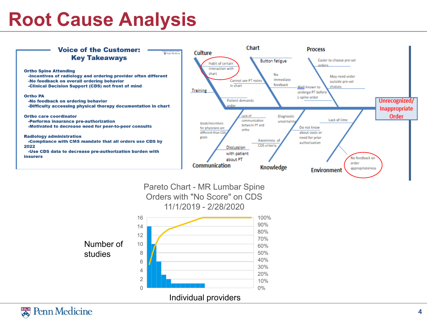### **Root Cause Analysis**

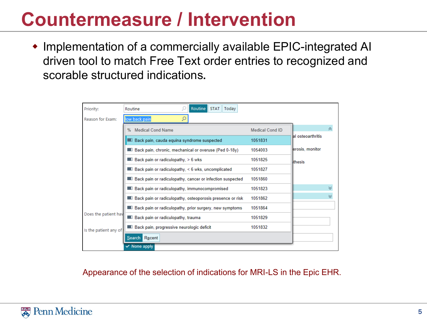### **Countermeasure / Intervention**

 Implementation of a commercially available EPIC-integrated AI driven tool to match Free Text order entries to recognized and scorable structured indications**.**

| Priority:             | Routine<br>STAT <sup> </sup><br>Today<br>Routine                  |                        |                    |  |  |
|-----------------------|-------------------------------------------------------------------|------------------------|--------------------|--|--|
| Reason for Exam:      | ρ<br>low back pain                                                |                        |                    |  |  |
|                       | % Medical Cond Name                                               | <b>Medical Cond ID</b> |                    |  |  |
|                       | <b>Back pain, cauda equina syndrome suspected</b>                 | 1051831                | lal osteoarthritis |  |  |
|                       | Back pain, chronic, mechanical or overuse (Ped 0-18y)             | 1054003                | erosis, monitor    |  |  |
|                       | $\blacksquare$ Back pain or radiculopathy, $> 6$ wks              | 1051825                | <b>thesis</b>      |  |  |
|                       | $\blacksquare$ Back pain or radiculopathy, < 6 wks, uncomplicated | 1051827                |                    |  |  |
|                       | Back pain or radiculopathy, cancer or infection suspected         | 1051860                |                    |  |  |
|                       | <b>Back pain or radiculopathy, immunocompromised</b>              | 1051823                |                    |  |  |
|                       | Back pain or radiculopathy, osteoporosis presence or risk         | 1051862                |                    |  |  |
|                       | Back pain or radiculopathy, prior surgery, new symptoms           | 1051864                |                    |  |  |
| Does the patient hav  | <b>Back pain or radiculopathy, traumally</b>                      | 1051829                |                    |  |  |
| Is the patient any of | Back pain, progressive neurologic deficit                         | 1051832                |                    |  |  |
|                       | Search Recent                                                     |                        |                    |  |  |
|                       | $\checkmark$ None apply                                           |                        |                    |  |  |

Appearance of the selection of indications for MRI-LS in the Epic EHR.

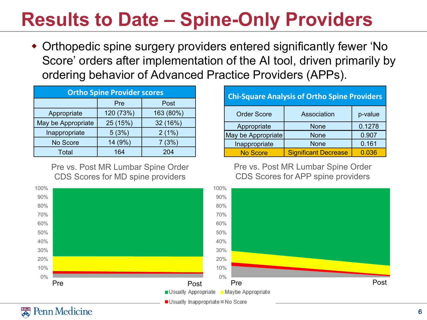# **Results to Date – Spine-Only Providers**

 Orthopedic spine surgery providers entered significantly fewer 'No Score' orders after implementation of the AI tool, driven primarily by ordering behavior of Advanced Practice Providers (APPs).

| <b>Ortho Spine Provider scores</b> |           |           |  |  |  |  |
|------------------------------------|-----------|-----------|--|--|--|--|
|                                    | Pre       | Post      |  |  |  |  |
| Appropriate                        | 120 (73%) | 163 (80%) |  |  |  |  |
| May be Appropriate                 | 25 (15%)  | 32 (16%)  |  |  |  |  |
| Inappropriate                      | 5(3%)     | 2(1%)     |  |  |  |  |
| No Score                           | 14 (9%)   | 7(3%)     |  |  |  |  |
| Total                              | 164       | 204       |  |  |  |  |

Pre vs. Post MR Lumbar Spine Order CDS Scores for MD spine providers



Pre vs. Post MR Lumbar Spine Order CDS Scores for APP spine providers



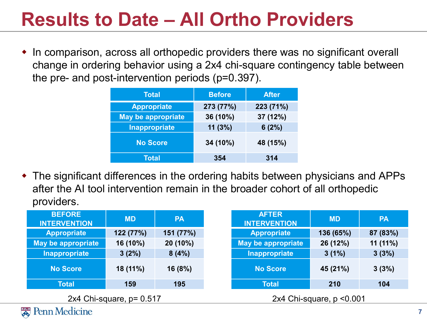# **Results to Date – All Ortho Providers**

 In comparison, across all orthopedic providers there was no significant overall change in ordering behavior using a 2x4 chi-square contingency table between the pre- and post-intervention periods (p=0.397).

| <b>Total</b>              | <b>Before</b>        | <b>After</b> |  |
|---------------------------|----------------------|--------------|--|
| <b>Appropriate</b>        | 273 (77%)            | 223 (71%)    |  |
| <b>May be appropriate</b> | 36 (10%)<br>37 (12%) |              |  |
| <b>Inappropriate</b>      | 11(3%)               | 6(2%)        |  |
| <b>No Score</b>           | 34 (10%)             | 48 (15%)     |  |
| <b>Total</b>              | 354                  | 314          |  |

 The significant differences in the ordering habits between physicians and APPs after the AI tool intervention remain in the broader cohort of all orthopedic providers.

| <b>BEFORE</b><br><b>INTERVENTION</b> | <b>MD</b> | <b>PA</b> | <b>AFTER</b><br><b>INTERVENTION</b> | <b>MD</b> | <b>PA</b> |
|--------------------------------------|-----------|-----------|-------------------------------------|-----------|-----------|
| <b>Appropriate</b>                   | 122 (77%) | 151 (77%) | <b>Appropriate</b>                  | 136 (65%) | 87 (83%)  |
| May be appropriate                   | 16 (10%)  | 20 (10%)  | May be appropriate                  | 26 (12%)  | 11(11%)   |
| Inappropriate                        | 3(2%)     | 8(4%)     | Inappropriate                       | 3(1%)     | 3(3%)     |
| <b>No Score</b>                      | 18 (11%)  | 16 (8%)   | <b>No Score</b>                     | 45 (21%)  | 3(3%)     |
| <b>Total</b>                         | 159       | 195       | <b>Total</b>                        | 210       | 104       |
| 2x4 Chi-square, $p = 0.517$          |           |           | 2x4 Chi-square, $p < 0.001$         |           |           |

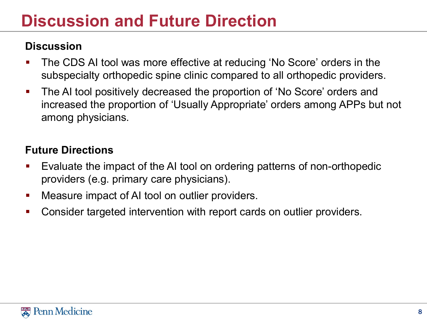#### **Discussion and Future Direction**

#### **Discussion**

- **The CDS AI tool was more effective at reducing 'No Score' orders in the** subspecialty orthopedic spine clinic compared to all orthopedic providers.
- The AI tool positively decreased the proportion of 'No Score' orders and increased the proportion of 'Usually Appropriate' orders among APPs but not among physicians.

#### **Future Directions**

- Evaluate the impact of the AI tool on ordering patterns of non-orthopedic providers (e.g. primary care physicians).
- **Neasure impact of AI tool on outlier providers.**
- **Consider targeted intervention with report cards on outlier providers.**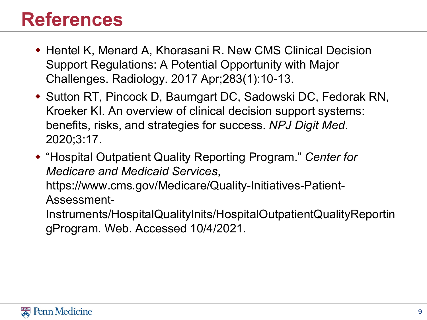#### **References**

- ◆ Hentel K, Menard A, Khorasani R. New CMS Clinical Decision Support Regulations: A Potential Opportunity with Major Challenges. Radiology. 2017 Apr;283(1):10-13.
- ◆ Sutton RT, Pincock D, Baumgart DC, Sadowski DC, Fedorak RN, Kroeker KI. An overview of clinical decision support systems: benefits, risks, and strategies for success. *NPJ Digit Med*. 2020;3:17.
- "Hospital Outpatient Quality Reporting Program." *Center for Medicare and Medicaid Services*,

https://www.cms.gov/Medicare/Quality-Initiatives-Patient-Assessment-

Instruments/HospitalQualityInits/HospitalOutpatientQualityReportin gProgram. Web. Accessed 10/4/2021.